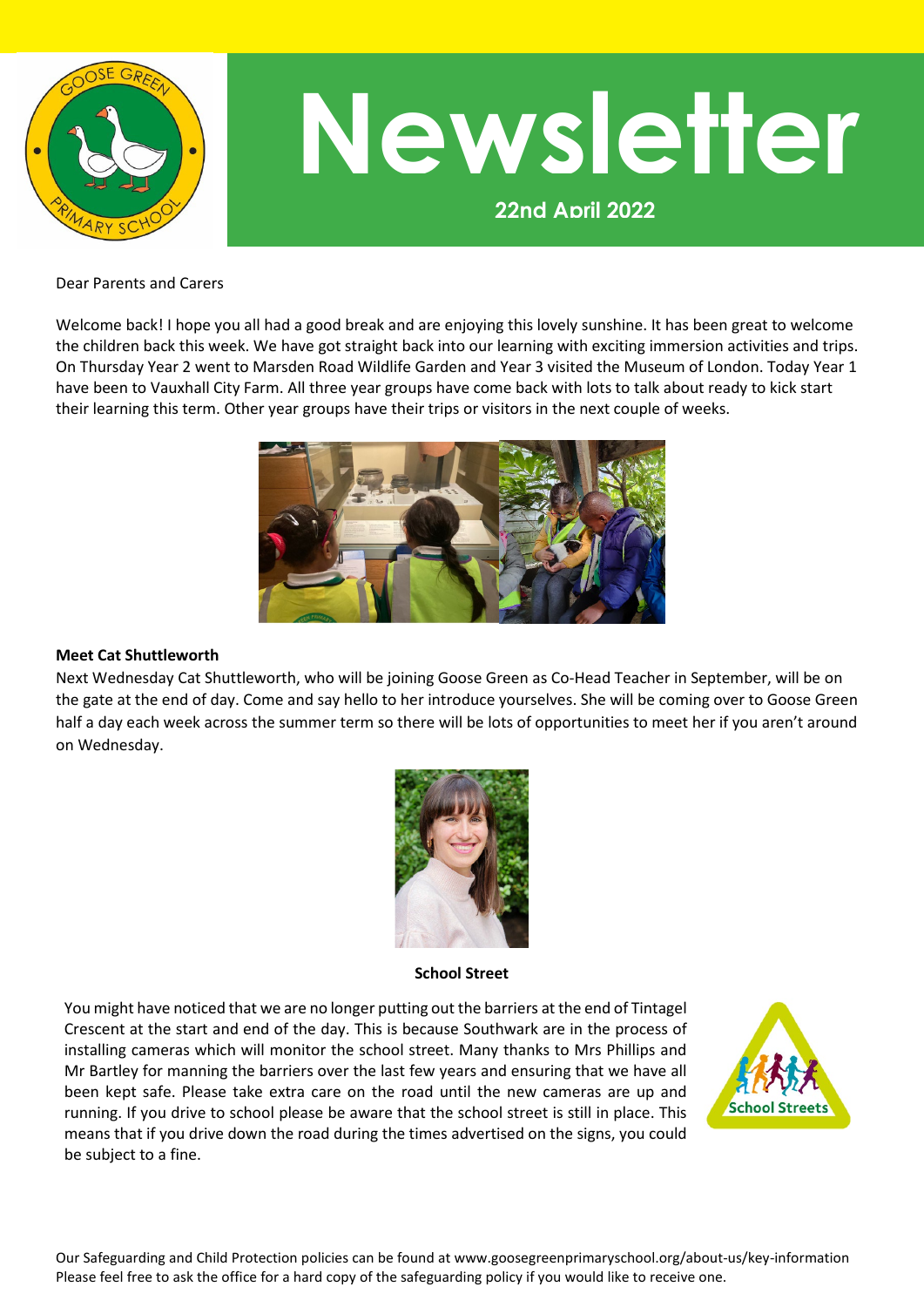

# **22nd April 2022 Newsletter**

Dear Parents and Carers

Welcome back! I hope you all had a good break and are enjoying this lovely sunshine. It has been great to welcome the children back this week. We have got straight back into our learning with exciting immersion activities and trips. On Thursday Year 2 went to Marsden Road Wildlife Garden and Year 3 visited the Museum of London. Today Year 1 have been to Vauxhall City Farm. All three year groups have come back with lots to talk about ready to kick start their learning this term. Other year groups have their trips or visitors in the next couple of weeks.



#### **Meet Cat Shuttleworth**

Next Wednesday Cat Shuttleworth, who will be joining Goose Green as Co-Head Teacher in September, will be on the gate at the end of day. Come and say hello to her introduce yourselves. She will be coming over to Goose Green half a day each week across the summer term so there will be lots of opportunities to meet her if you aren't around on Wednesday.



**School Street**

You might have noticed that we are no longer putting out the barriers at the end of Tintagel Crescent at the start and end of the day. This is because Southwark are in the process of installing cameras which will monitor the school street. Many thanks to Mrs Phillips and Mr Bartley for manning the barriers over the last few years and ensuring that we have all been kept safe. Please take extra care on the road until the new cameras are up and running. If you drive to school please be aware that the school street is still in place. This means that if you drive down the road during the times advertised on the signs, you could be subject to a fine.

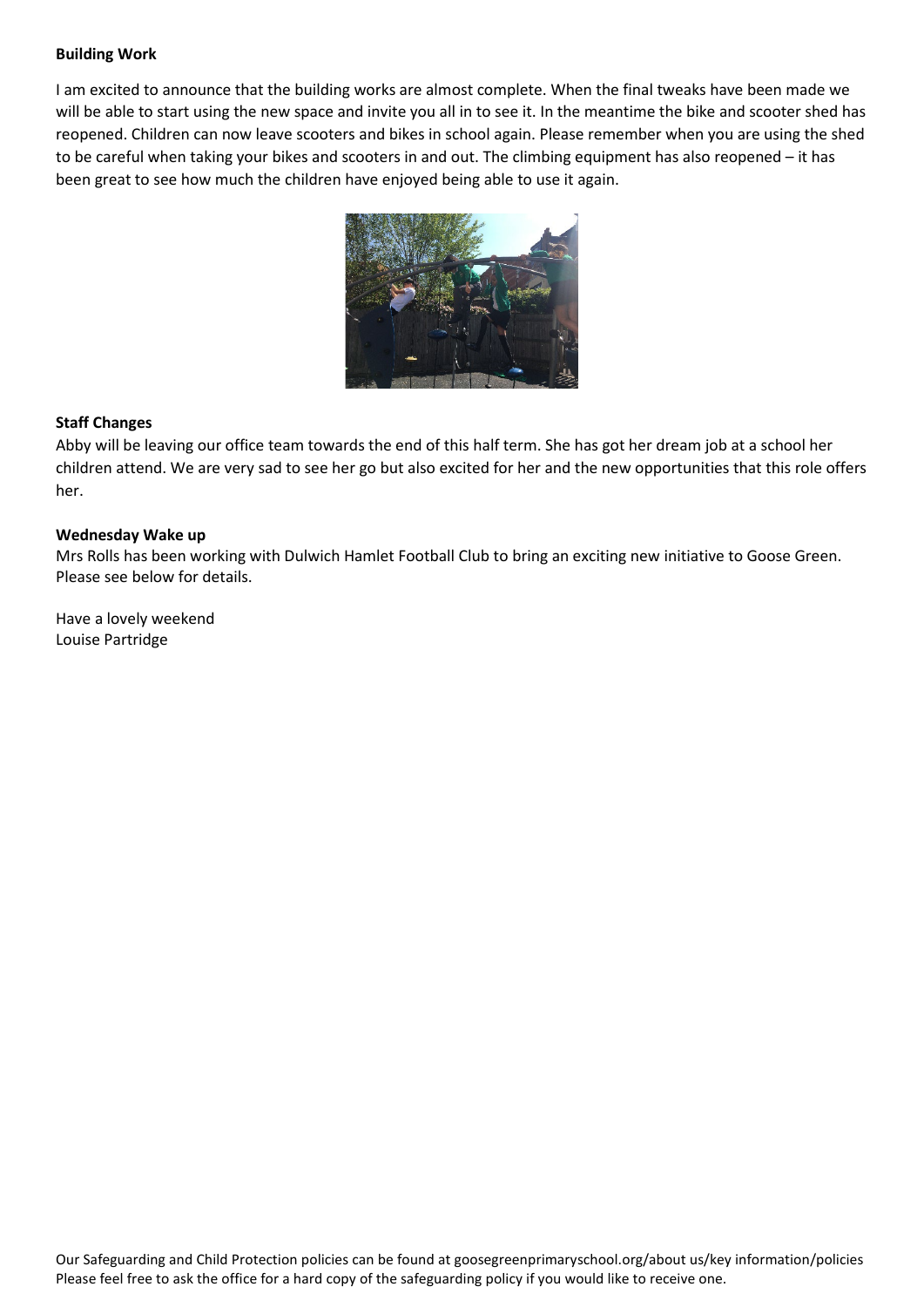#### **Building Work**

I am excited to announce that the building works are almost complete. When the final tweaks have been made we will be able to start using the new space and invite you all in to see it. In the meantime the bike and scooter shed has reopened. Children can now leave scooters and bikes in school again. Please remember when you are using the shed to be careful when taking your bikes and scooters in and out. The climbing equipment has also reopened – it has been great to see how much the children have enjoyed being able to use it again.



#### **Staff Changes**

Abby will be leaving our office team towards the end of this half term. She has got her dream job at a school her children attend. We are very sad to see her go but also excited for her and the new opportunities that this role offers her.

#### **Wednesday Wake up**

Mrs Rolls has been working with Dulwich Hamlet Football Club to bring an exciting new initiative to Goose Green. Please see below for details.

Have a lovely weekend Louise Partridge